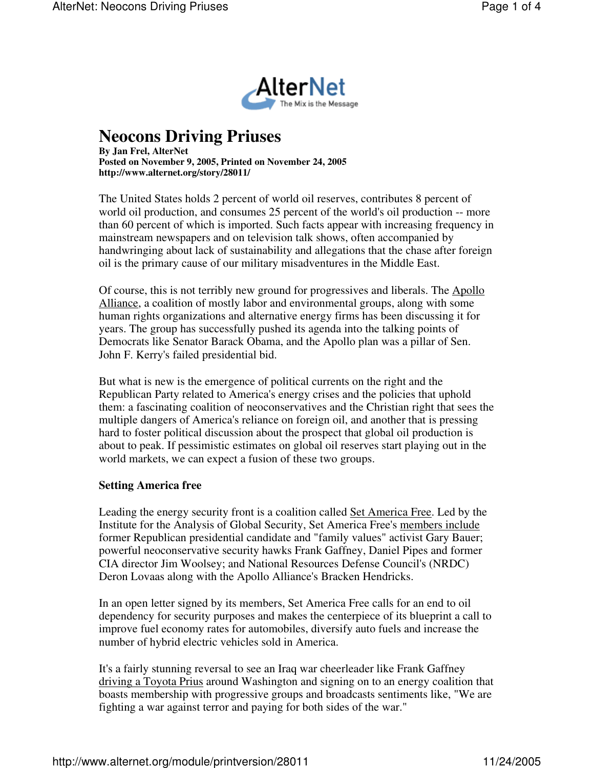

## **Neocons Driving Priuses**

**By Jan Frel, AlterNet Posted on November 9, 2005, Printed on November 24, 2005 http://www.alternet.org/story/28011/**

The United States holds 2 percent of world oil reserves, contributes 8 percent of world oil production, and consumes 25 percent of the world's oil production -- more than 60 percent of which is imported. Such facts appear with increasing frequency in mainstream newspapers and on television talk shows, often accompanied by handwringing about lack of sustainability and allegations that the chase after foreign oil is the primary cause of our military misadventures in the Middle East.

Of course, this is not terribly new ground for progressives and liberals. The Apollo Alliance, a coalition of mostly labor and environmental groups, along with some human rights organizations and alternative energy firms has been discussing it for years. The group has successfully pushed its agenda into the talking points of Democrats like Senator Barack Obama, and the Apollo plan was a pillar of Sen. John F. Kerry's failed presidential bid.

But what is new is the emergence of political currents on the right and the Republican Party related to America's energy crises and the policies that uphold them: a fascinating coalition of neoconservatives and the Christian right that sees the multiple dangers of America's reliance on foreign oil, and another that is pressing hard to foster political discussion about the prospect that global oil production is about to peak. If pessimistic estimates on global oil reserves start playing out in the world markets, we can expect a fusion of these two groups.

## **Setting America free**

Leading the energy security front is a coalition called Set America Free. Led by the Institute for the Analysis of Global Security, Set America Free's members include former Republican presidential candidate and "family values" activist Gary Bauer; powerful neoconservative security hawks Frank Gaffney, Daniel Pipes and former CIA director Jim Woolsey; and National Resources Defense Council's (NRDC) Deron Lovaas along with the Apollo Alliance's Bracken Hendricks.

In an open letter signed by its members, Set America Free calls for an end to oil dependency for security purposes and makes the centerpiece of its blueprint a call to improve fuel economy rates for automobiles, diversify auto fuels and increase the number of hybrid electric vehicles sold in America.

It's a fairly stunning reversal to see an Iraq war cheerleader like Frank Gaffney driving a Toyota Prius around Washington and signing on to an energy coalition that boasts membership with progressive groups and broadcasts sentiments like, "We are fighting a war against terror and paying for both sides of the war."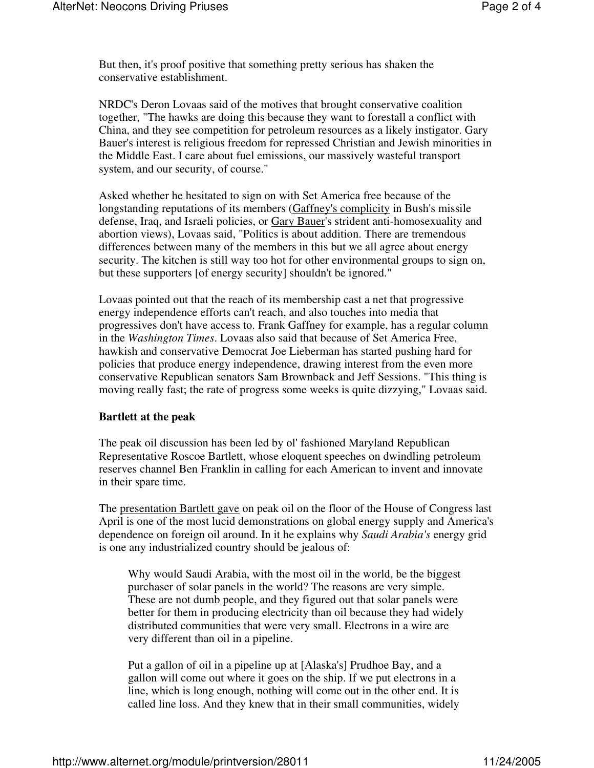But then, it's proof positive that something pretty serious has shaken the conservative establishment.

NRDC's Deron Lovaas said of the motives that brought conservative coalition together, "The hawks are doing this because they want to forestall a conflict with China, and they see competition for petroleum resources as a likely instigator. Gary Bauer's interest is religious freedom for repressed Christian and Jewish minorities in the Middle East. I care about fuel emissions, our massively wasteful transport system, and our security, of course."

Asked whether he hesitated to sign on with Set America free because of the longstanding reputations of its members (Gaffney's complicity in Bush's missile defense, Iraq, and Israeli policies, or Gary Bauer's strident anti-homosexuality and abortion views), Lovaas said, "Politics is about addition. There are tremendous differences between many of the members in this but we all agree about energy security. The kitchen is still way too hot for other environmental groups to sign on, but these supporters [of energy security] shouldn't be ignored."

Lovaas pointed out that the reach of its membership cast a net that progressive energy independence efforts can't reach, and also touches into media that progressives don't have access to. Frank Gaffney for example, has a regular column in the *Washington Times*. Lovaas also said that because of Set America Free, hawkish and conservative Democrat Joe Lieberman has started pushing hard for policies that produce energy independence, drawing interest from the even more conservative Republican senators Sam Brownback and Jeff Sessions. "This thing is moving really fast; the rate of progress some weeks is quite dizzying," Lovaas said.

## **Bartlett at the peak**

The peak oil discussion has been led by ol' fashioned Maryland Republican Representative Roscoe Bartlett, whose eloquent speeches on dwindling petroleum reserves channel Ben Franklin in calling for each American to invent and innovate in their spare time.

The presentation Bartlett gave on peak oil on the floor of the House of Congress last April is one of the most lucid demonstrations on global energy supply and America's dependence on foreign oil around. In it he explains why *Saudi Arabia's* energy grid is one any industrialized country should be jealous of:

Why would Saudi Arabia, with the most oil in the world, be the biggest purchaser of solar panels in the world? The reasons are very simple. These are not dumb people, and they figured out that solar panels were better for them in producing electricity than oil because they had widely distributed communities that were very small. Electrons in a wire are very different than oil in a pipeline.

Put a gallon of oil in a pipeline up at [Alaska's] Prudhoe Bay, and a gallon will come out where it goes on the ship. If we put electrons in a line, which is long enough, nothing will come out in the other end. It is called line loss. And they knew that in their small communities, widely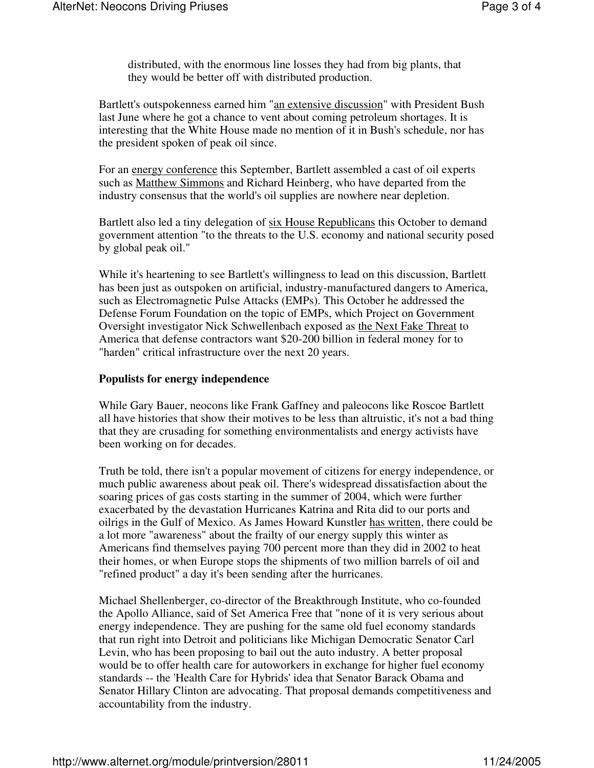distributed, with the enormous line losses they had from big plants, that they would be better off with distributed production.

Bartlett's outspokenness earned him "an extensive discussion" with President Bush last June where he got a chance to vent about coming petroleum shortages. It is interesting that the White House made no mention of it in Bush's schedule, nor has the president spoken of peak oil since.

For an energy conference this September, Bartlett assembled a cast of oil experts such as Matthew Simmons and Richard Heinberg, who have departed from the industry consensus that the world's oil supplies are nowhere near depletion.

Bartlett also led a tiny delegation of six House Republicans this October to demand government attention "to the threats to the U.S. economy and national security posed by global peak oil."

While it's heartening to see Bartlett's willingness to lead on this discussion, Bartlett has been just as outspoken on artificial, industry-manufactured dangers to America, such as Electromagnetic Pulse Attacks (EMPs). This October he addressed the Defense Forum Foundation on the topic of EMPs, which Project on Government Oversight investigator Nick Schwellenbach exposed as the Next Fake Threat to America that defense contractors want \$20-200 billion in federal money for to "harden" critical infrastructure over the next 20 years.

## **Populists for energy independence**

While Gary Bauer, neocons like Frank Gaffney and paleocons like Roscoe Bartlett all have histories that show their motives to be less than altruistic, it's not a bad thing that they are crusading for something environmentalists and energy activists have been working on for decades.

Truth be told, there isn't a popular movement of citizens for energy independence, or much public awareness about peak oil. There's widespread dissatisfaction about the soaring prices of gas costs starting in the summer of 2004, which were further exacerbated by the devastation Hurricanes Katrina and Rita did to our ports and oilrigs in the Gulf of Mexico. As James Howard Kunstler has written, there could be a lot more "awareness" about the frailty of our energy supply this winter as Americans find themselves paying 700 percent more than they did in 2002 to heat their homes, or when Europe stops the shipments of two million barrels of oil and "refined product" a day it's been sending after the hurricanes.

Michael Shellenberger, co-director of the Breakthrough Institute, who co-founded the Apollo Alliance, said of Set America Free that "none of it is very serious about energy independence. They are pushing for the same old fuel economy standards that run right into Detroit and politicians like Michigan Democratic Senator Carl Levin, who has been proposing to bail out the auto industry. A better proposal would be to offer health care for autoworkers in exchange for higher fuel economy standards -- the 'Health Care for Hybrids' idea that Senator Barack Obama and Senator Hillary Clinton are advocating. That proposal demands competitiveness and accountability from the industry.